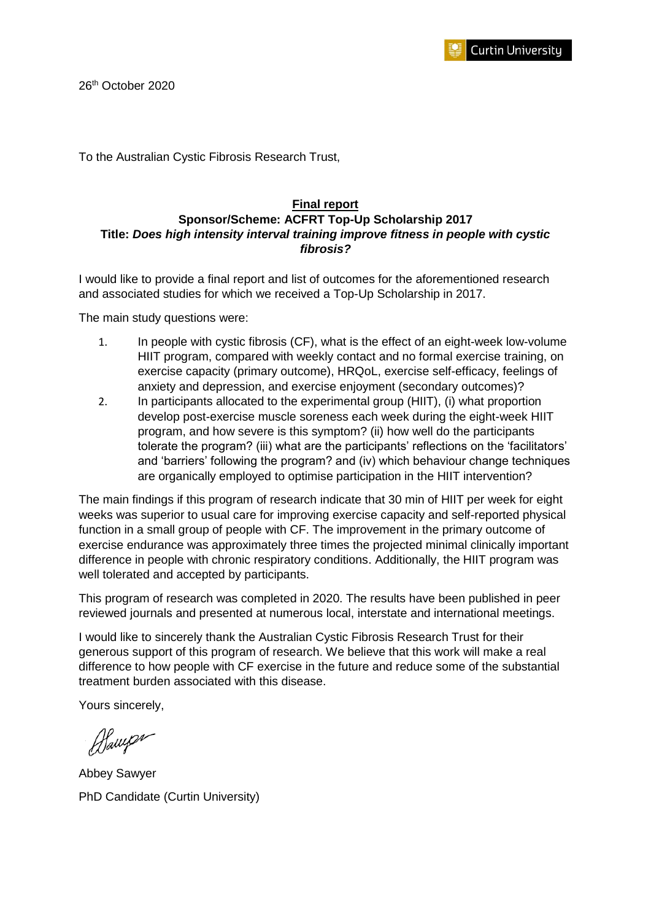

To the Australian Cystic Fibrosis Research Trust,

# **Final report**

#### **Sponsor/Scheme: ACFRT Top-Up Scholarship 2017 Title:** *Does high intensity interval training improve fitness in people with cystic fibrosis?*

I would like to provide a final report and list of outcomes for the aforementioned research and associated studies for which we received a Top-Up Scholarship in 2017.

The main study questions were:

- 1. In people with cystic fibrosis (CF), what is the effect of an eight-week low-volume HIIT program, compared with weekly contact and no formal exercise training, on exercise capacity (primary outcome), HRQoL, exercise self-efficacy, feelings of anxiety and depression, and exercise enjoyment (secondary outcomes)?
- 2. In participants allocated to the experimental group (HIIT), (i) what proportion develop post-exercise muscle soreness each week during the eight-week HIIT program, and how severe is this symptom? (ii) how well do the participants tolerate the program? (iii) what are the participants' reflections on the 'facilitators' and 'barriers' following the program? and (iv) which behaviour change techniques are organically employed to optimise participation in the HIIT intervention?

The main findings if this program of research indicate that 30 min of HIIT per week for eight weeks was superior to usual care for improving exercise capacity and self-reported physical function in a small group of people with CF. The improvement in the primary outcome of exercise endurance was approximately three times the projected minimal clinically important difference in people with chronic respiratory conditions. Additionally, the HIIT program was well tolerated and accepted by participants.

This program of research was completed in 2020. The results have been published in peer reviewed journals and presented at numerous local, interstate and international meetings.

I would like to sincerely thank the Australian Cystic Fibrosis Research Trust for their generous support of this program of research. We believe that this work will make a real difference to how people with CF exercise in the future and reduce some of the substantial treatment burden associated with this disease.

Yours sincerely,

Blaups

Abbey Sawyer PhD Candidate (Curtin University)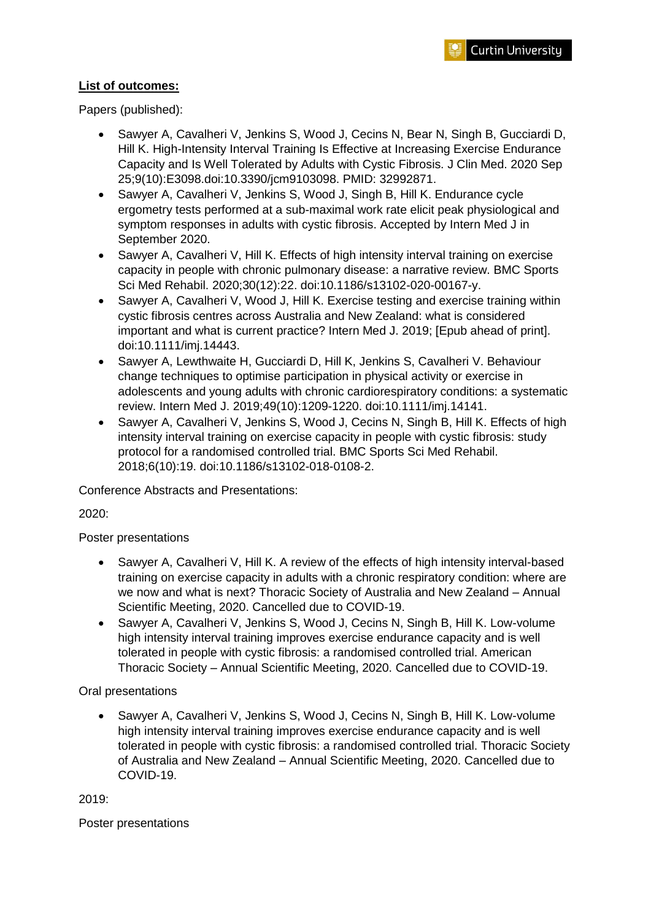## **List of outcomes:**

Papers (published):

- Sawyer A, Cavalheri V, Jenkins S, Wood J, Cecins N, Bear N, Singh B, Gucciardi D, Hill K. High-Intensity Interval Training Is Effective at Increasing Exercise Endurance Capacity and Is Well Tolerated by Adults with Cystic Fibrosis. J Clin Med. 2020 Sep 25;9(10):E3098.doi:10.3390/jcm9103098. PMID: 32992871.
- Sawyer A, Cavalheri V, Jenkins S, Wood J, Singh B, Hill K. Endurance cycle ergometry tests performed at a sub-maximal work rate elicit peak physiological and symptom responses in adults with cystic fibrosis. Accepted by Intern Med J in September 2020.
- Sawyer A, Cavalheri V, Hill K. Effects of high intensity interval training on exercise capacity in people with chronic pulmonary disease: a narrative review. BMC Sports Sci Med Rehabil. 2020;30(12):22. doi:10.1186/s13102-020-00167-y.
- Sawyer A, Cavalheri V, Wood J, Hill K. Exercise testing and exercise training within cystic fibrosis centres across Australia and New Zealand: what is considered important and what is current practice? Intern Med J. 2019; [Epub ahead of print]. doi:10.1111/imj.14443.
- Sawyer A, Lewthwaite H, Gucciardi D, Hill K, Jenkins S, Cavalheri V. Behaviour change techniques to optimise participation in physical activity or exercise in adolescents and young adults with chronic cardiorespiratory conditions: a systematic review. Intern Med J. 2019;49(10):1209-1220. doi:10.1111/imj.14141.
- Sawyer A, Cavalheri V, Jenkins S, Wood J, Cecins N, Singh B, Hill K. Effects of high intensity interval training on exercise capacity in people with cystic fibrosis: study protocol for a randomised controlled trial. BMC Sports Sci Med Rehabil. 2018;6(10):19. doi:10.1186/s13102-018-0108-2.

Conference Abstracts and Presentations:

2020:

Poster presentations

- Sawyer A, Cavalheri V, Hill K. A review of the effects of high intensity interval-based training on exercise capacity in adults with a chronic respiratory condition: where are we now and what is next? Thoracic Society of Australia and New Zealand – Annual Scientific Meeting, 2020. Cancelled due to COVID-19.
- Sawyer A, Cavalheri V, Jenkins S, Wood J, Cecins N, Singh B, Hill K. Low-volume high intensity interval training improves exercise endurance capacity and is well tolerated in people with cystic fibrosis: a randomised controlled trial. American Thoracic Society – Annual Scientific Meeting, 2020. Cancelled due to COVID-19.

Oral presentations

• Sawyer A, Cavalheri V, Jenkins S, Wood J, Cecins N, Singh B, Hill K. Low-volume high intensity interval training improves exercise endurance capacity and is well tolerated in people with cystic fibrosis: a randomised controlled trial. Thoracic Society of Australia and New Zealand – Annual Scientific Meeting, 2020. Cancelled due to COVID-19.

2019:

Poster presentations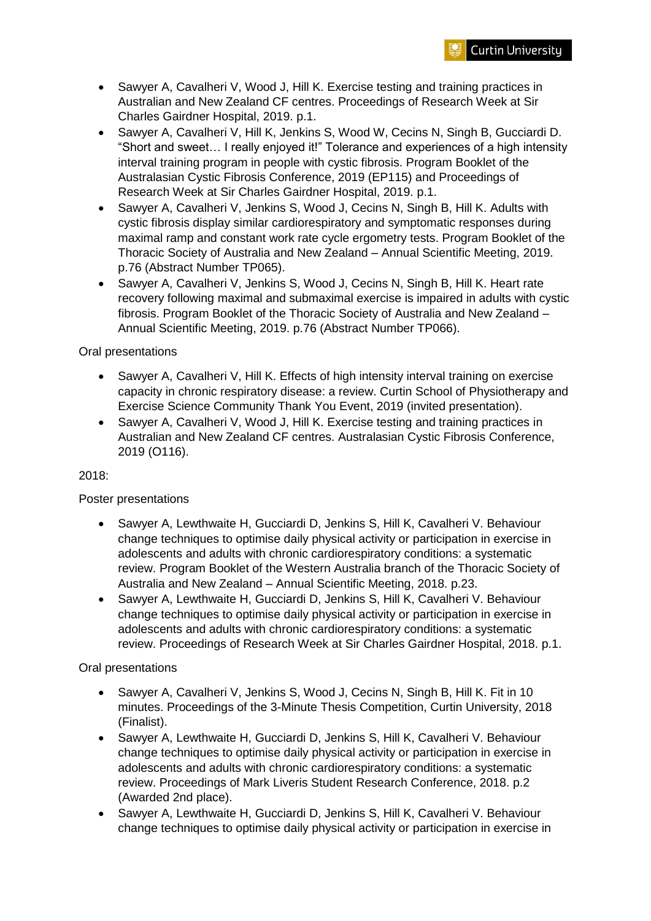

- Sawyer A, Cavalheri V, Wood J, Hill K. Exercise testing and training practices in Australian and New Zealand CF centres. Proceedings of Research Week at Sir Charles Gairdner Hospital, 2019. p.1.
- Sawyer A, Cavalheri V, Hill K, Jenkins S, Wood W, Cecins N, Singh B, Gucciardi D. "Short and sweet… I really enjoyed it!" Tolerance and experiences of a high intensity interval training program in people with cystic fibrosis. Program Booklet of the Australasian Cystic Fibrosis Conference, 2019 (EP115) and Proceedings of Research Week at Sir Charles Gairdner Hospital, 2019. p.1.
- Sawyer A, Cavalheri V, Jenkins S, Wood J, Cecins N, Singh B, Hill K. Adults with cystic fibrosis display similar cardiorespiratory and symptomatic responses during maximal ramp and constant work rate cycle ergometry tests. Program Booklet of the Thoracic Society of Australia and New Zealand – Annual Scientific Meeting, 2019. p.76 (Abstract Number TP065).
- Sawyer A, Cavalheri V, Jenkins S, Wood J, Cecins N, Singh B, Hill K. Heart rate recovery following maximal and submaximal exercise is impaired in adults with cystic fibrosis. Program Booklet of the Thoracic Society of Australia and New Zealand – Annual Scientific Meeting, 2019. p.76 (Abstract Number TP066).

### Oral presentations

- Sawyer A, Cavalheri V, Hill K. Effects of high intensity interval training on exercise capacity in chronic respiratory disease: a review. Curtin School of Physiotherapy and Exercise Science Community Thank You Event, 2019 (invited presentation).
- Sawyer A, Cavalheri V, Wood J, Hill K. Exercise testing and training practices in Australian and New Zealand CF centres. Australasian Cystic Fibrosis Conference, 2019 (O116).

### 2018:

### Poster presentations

- Sawyer A, Lewthwaite H, Gucciardi D, Jenkins S, Hill K, Cavalheri V. Behaviour change techniques to optimise daily physical activity or participation in exercise in adolescents and adults with chronic cardiorespiratory conditions: a systematic review. Program Booklet of the Western Australia branch of the Thoracic Society of Australia and New Zealand – Annual Scientific Meeting, 2018. p.23.
- Sawyer A, Lewthwaite H, Gucciardi D, Jenkins S, Hill K, Cavalheri V. Behaviour change techniques to optimise daily physical activity or participation in exercise in adolescents and adults with chronic cardiorespiratory conditions: a systematic review. Proceedings of Research Week at Sir Charles Gairdner Hospital, 2018. p.1.

### Oral presentations

- Sawyer A, Cavalheri V, Jenkins S, Wood J, Cecins N, Singh B, Hill K. Fit in 10 minutes. Proceedings of the 3-Minute Thesis Competition, Curtin University, 2018 (Finalist).
- Sawyer A, Lewthwaite H, Gucciardi D, Jenkins S, Hill K, Cavalheri V. Behaviour change techniques to optimise daily physical activity or participation in exercise in adolescents and adults with chronic cardiorespiratory conditions: a systematic review. Proceedings of Mark Liveris Student Research Conference, 2018. p.2 (Awarded 2nd place).
- Sawyer A, Lewthwaite H, Gucciardi D, Jenkins S, Hill K, Cavalheri V. Behaviour change techniques to optimise daily physical activity or participation in exercise in